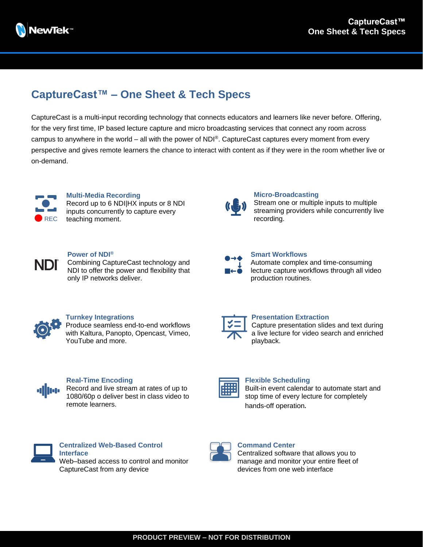

# **CaptureCast™ – One Sheet & Tech Specs**

CaptureCast is a multi-input recording technology that connects educators and learners like never before. Offering, for the very first time, IP based lecture capture and micro broadcasting services that connect any room across campus to anywhere in the world – all with the power of NDI®. CaptureCast captures every moment from every perspective and gives remote learners the chance to interact with content as if they were in the room whether live or on-demand.



#### **Multi-Media Recording** Record up to 6 NDI|HX inputs or 8 NDI inputs concurrently to capture every teaching moment.



#### **Micro-Broadcasting**

**Smart Workflows**

production routines.

**Presentation Extraction**

Stream one or multiple inputs to multiple streaming providers while concurrently live recording.

Automate complex and time-consuming lecture capture workflows through all video

Capture presentation slides and text during a live lecture for video search and enriched



#### **Power of NDI®**

Combining CaptureCast technology and NDI to offer the power and flexibility that only IP networks deliver.



## **Turnkey Integrations**

Produce seamless end-to-end workflows with Kaltura, Panopto, Opencast, Vimeo, YouTube and more.



### **Real-Time Encoding**

Record and live stream at rates of up to 1080/60p o deliver best in class video to remote learners.



#### **Flexible Scheduling**

playback.

Built-in event calendar to automate start and stop time of every lecture for completely hands-off operation.



#### **Centralized Web-Based Control Interface** Web–based access to control and monitor

CaptureCast from any device



### **Command Center**

Centralized software that allows you to manage and monitor your entire fleet of devices from one web interface